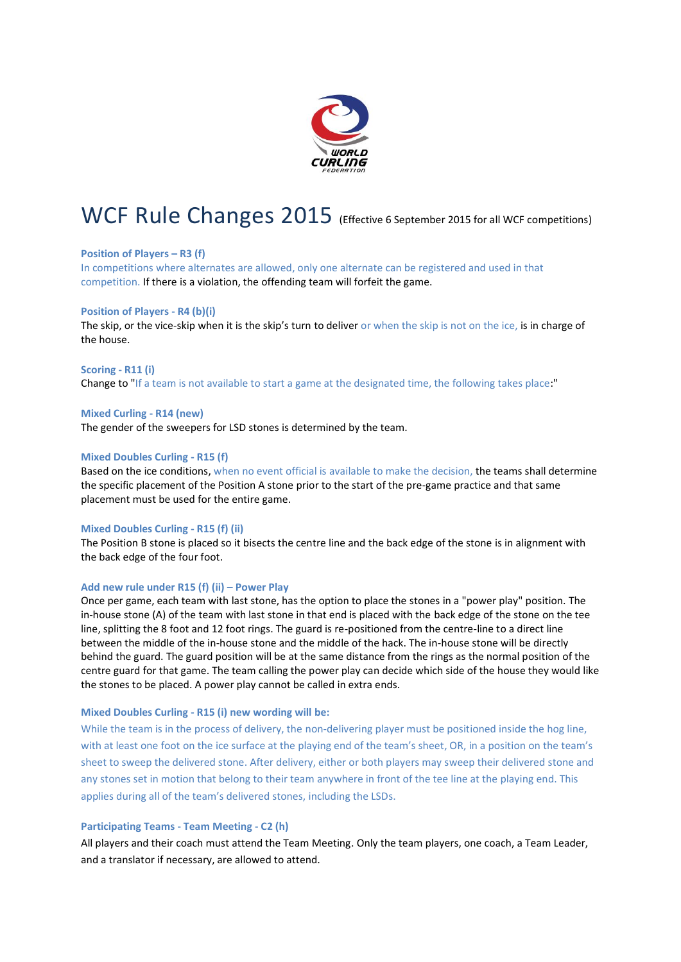

# WCF Rule Changes 2015 (Effective 6 September 2015 for all WCF competitions)

# **Position of Players – R3 (f)**

In competitions where alternates are allowed, only one alternate can be registered and used in that competition. If there is a violation, the offending team will forfeit the game.

# **Position of Players - R4 (b)(i)**

The skip, or the vice-skip when it is the skip's turn to deliver or when the skip is not on the ice, is in charge of the house.

# **Scoring - R11 (i)**

Change to "If a team is not available to start a game at the designated time, the following takes place:"

## **Mixed Curling - R14 (new)**

The gender of the sweepers for LSD stones is determined by the team.

# **Mixed Doubles Curling - R15 (f)**

Based on the ice conditions, when no event official is available to make the decision, the teams shall determine the specific placement of the Position A stone prior to the start of the pre-game practice and that same placement must be used for the entire game.

## **Mixed Doubles Curling - R15 (f) (ii)**

The Position B stone is placed so it bisects the centre line and the back edge of the stone is in alignment with the back edge of the four foot.

# **Add new rule under R15 (f) (ii) – Power Play**

Once per game, each team with last stone, has the option to place the stones in a "power play" position. The in-house stone (A) of the team with last stone in that end is placed with the back edge of the stone on the tee line, splitting the 8 foot and 12 foot rings. The guard is re-positioned from the centre-line to a direct line between the middle of the in-house stone and the middle of the hack. The in-house stone will be directly behind the guard. The guard position will be at the same distance from the rings as the normal position of the centre guard for that game. The team calling the power play can decide which side of the house they would like the stones to be placed. A power play cannot be called in extra ends.

# **Mixed Doubles Curling - R15 (i) new wording will be:**

While the team is in the process of delivery, the non-delivering player must be positioned inside the hog line, with at least one foot on the ice surface at the playing end of the team's sheet, OR, in a position on the team's sheet to sweep the delivered stone. After delivery, either or both players may sweep their delivered stone and any stones set in motion that belong to their team anywhere in front of the tee line at the playing end. This applies during all of the team's delivered stones, including the LSDs.

# **Participating Teams - Team Meeting - C2 (h)**

All players and their coach must attend the Team Meeting. Only the team players, one coach, a Team Leader, and a translator if necessary, are allowed to attend.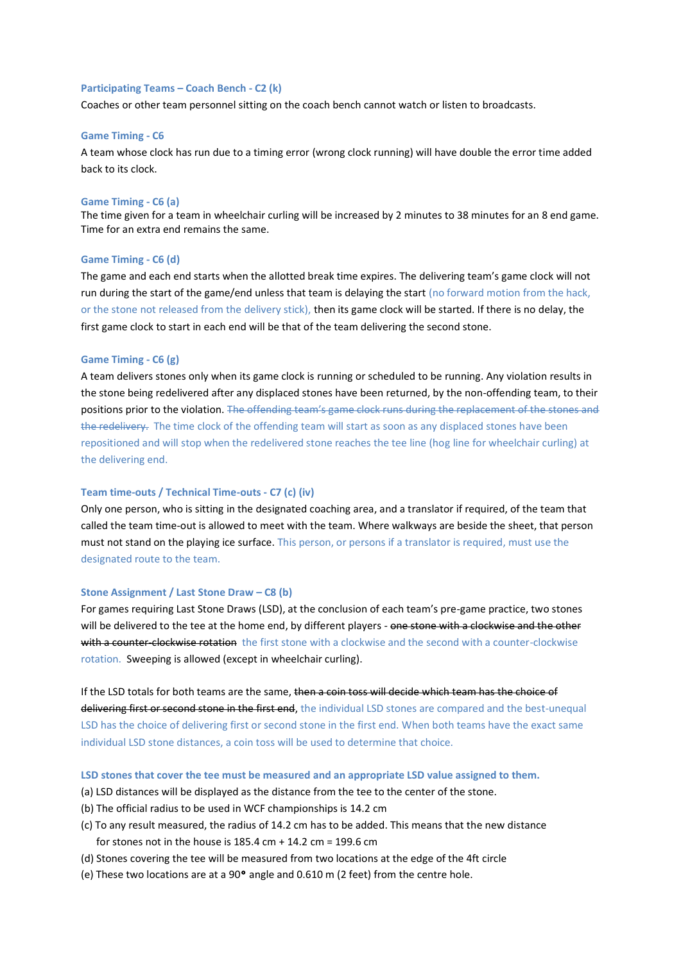## **Participating Teams – Coach Bench - C2 (k)**

Coaches or other team personnel sitting on the coach bench cannot watch or listen to broadcasts.

#### **Game Timing - C6**

A team whose clock has run due to a timing error (wrong clock running) will have double the error time added back to its clock.

#### **Game Timing - C6 (a)**

The time given for a team in wheelchair curling will be increased by 2 minutes to 38 minutes for an 8 end game. Time for an extra end remains the same.

# **Game Timing - C6 (d)**

The game and each end starts when the allotted break time expires. The delivering team's game clock will not run during the start of the game/end unless that team is delaying the start (no forward motion from the hack, or the stone not released from the delivery stick), then its game clock will be started. If there is no delay, the first game clock to start in each end will be that of the team delivering the second stone.

# **Game Timing - C6 (g)**

A team delivers stones only when its game clock is running or scheduled to be running. Any violation results in the stone being redelivered after any displaced stones have been returned, by the non-offending team, to their positions prior to the violation. The offending team's game clock runs during the replacement of the stones and the redelivery. The time clock of the offending team will start as soon as any displaced stones have been repositioned and will stop when the redelivered stone reaches the tee line (hog line for wheelchair curling) at the delivering end.

# **Team time-outs / Technical Time-outs - C7 (c) (iv)**

Only one person, who is sitting in the designated coaching area, and a translator if required, of the team that called the team time-out is allowed to meet with the team. Where walkways are beside the sheet, that person must not stand on the playing ice surface. This person, or persons if a translator is required, must use the designated route to the team.

## **Stone Assignment / Last Stone Draw – C8 (b)**

For games requiring Last Stone Draws (LSD), at the conclusion of each team's pre-game practice, two stones will be delivered to the tee at the home end, by different players - one stone with a clockwise and the other with a counter-clockwise rotation the first stone with a clockwise and the second with a counter-clockwise rotation. Sweeping is allowed (except in wheelchair curling).

If the LSD totals for both teams are the same, then a coin toss will decide which team has the choice of delivering first or second stone in the first end, the individual LSD stones are compared and the best-unequal LSD has the choice of delivering first or second stone in the first end. When both teams have the exact same individual LSD stone distances, a coin toss will be used to determine that choice.

# **LSD stones that cover the tee must be measured and an appropriate LSD value assigned to them.**

- (a) LSD distances will be displayed as the distance from the tee to the center of the stone.
- (b) The official radius to be used in WCF championships is 14.2 cm
- (c) To any result measured, the radius of 14.2 cm has to be added. This means that the new distance for stones not in the house is 185.4 cm + 14.2 cm = 199.6 cm
- (d) Stones covering the tee will be measured from two locations at the edge of the 4ft circle
- (e) These two locations are at a 90° angle and 0.610 m (2 feet) from the centre hole.